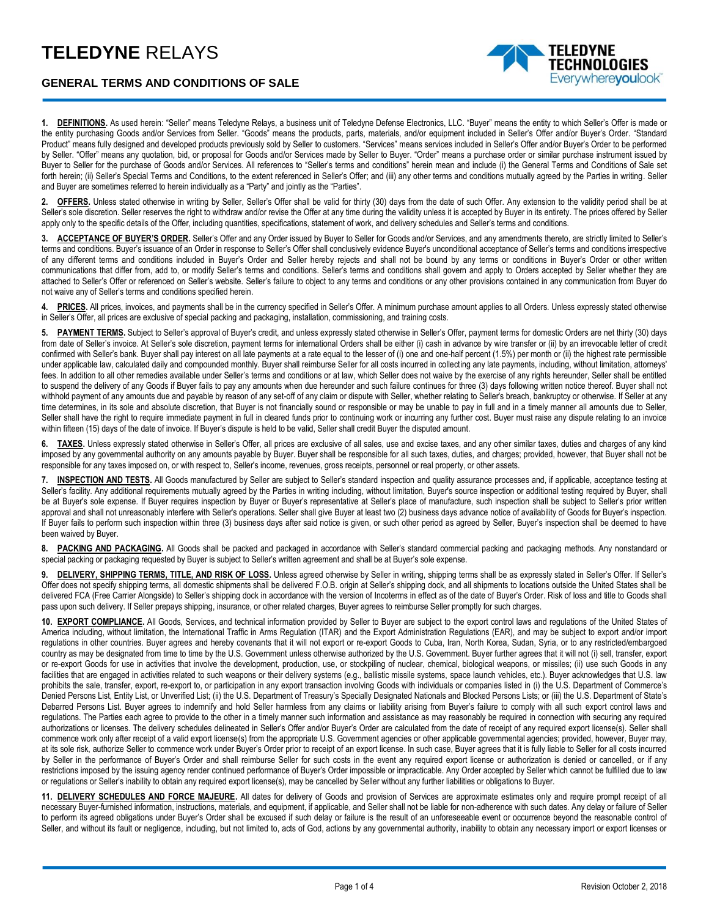## **TELEDYNE** RELAYS



TELEDYNE **ECHNOLOGIES** Everywherevoulook

**1. DEFINITIONS.** As used herein: "Seller" means Teledyne Relays, a business unit of Teledyne Defense Electronics, LLC. "Buyer" means the entity to which Seller's Offer is made or the entity purchasing Goods and/or Services from Seller. "Goods" means the products, parts, materials, and/or equipment included in Seller's Offer and/or Buyer's Order. "Standard Product" means fully designed and developed products previously sold by Seller to customers. "Services" means services included in Seller's Offer and/or Buyer's Order to be performed by Seller. "Offer" means any quotation, bid, or proposal for Goods and/or Services made by Seller to Buyer. "Order" means a purchase order or similar purchase instrument issued by Buyer to Seller for the purchase of Goods and/or Services. All references to "Seller's terms and conditions" herein mean and include (i) the General Terms and Conditions of Sale set forth herein; (ii) Seller's Special Terms and Conditions, to the extent referenced in Seller's Offer; and (iii) any other terms and conditions mutually agreed by the Parties in writing. Seller and Buyer are sometimes referred to herein individually as a "Party" and jointly as the "Parties".

**OFFERS.** Unless stated otherwise in writing by Seller, Seller's Offer shall be valid for thirty (30) days from the date of such Offer. Any extension to the validity period shall be at Seller's sole discretion. Seller reserves the right to withdraw and/or revise the Offer at any time during the validity unless it is accepted by Buyer in its entirety. The prices offered by Seller apply only to the specific details of the Offer, including quantities, specifications, statement of work, and delivery schedules and Seller's terms and conditions.

**3. ACCEPTANCE OF BUYER'S ORDER.** Seller's Offer and any Order issued by Buyer to Seller for Goods and/or Services, and any amendments thereto, are strictly limited to Seller's terms and conditions. Buyer's issuance of an Order in response to Seller's Offer shall conclusively evidence Buyer's unconditional acceptance of Seller's terms and conditions irrespective of any different terms and conditions included in Buyer's Order and Seller hereby rejects and shall not be bound by any terms or conditions in Buyer's Order or other written communications that differ from, add to, or modify Seller's terms and conditions. Seller's terms and conditions shall govern and apply to Orders accepted by Seller whether they are attached to Seller's Offer or referenced on Seller's website. Seller's failure to object to any terms and conditions or any other provisions contained in any communication from Buyer do not waive any of Seller's terms and conditions specified herein.

4. PRICES. All prices, invoices, and payments shall be in the currency specified in Seller's Offer. A minimum purchase amount applies to all Orders. Unless expressly stated otherwise in Seller's Offer, all prices are exclusive of special packing and packaging, installation, commissioning, and training costs.

**5. PAYMENT TERMS.** Subject to Seller's approval of Buyer's credit, and unless expressly stated otherwise in Seller's Offer, payment terms for domestic Orders are net thirty (30) days from date of Seller's invoice. At Seller's sole discretion, payment terms for international Orders shall be either (i) cash in advance by wire transfer or (ii) by an irrevocable letter of credit confirmed with Seller's bank. Buyer shall pay interest on all late payments at a rate equal to the lesser of (i) one and one-half percent (1.5%) per month or (ii) the highest rate permissible under applicable law, calculated daily and compounded monthly. Buyer shall reimburse Seller for all costs incurred in collecting any late payments, including, without limitation, attorneys' fees. In addition to all other remedies available under Seller's terms and conditions or at law, which Seller does not waive by the exercise of any rights hereunder, Seller shall be entitled to suspend the delivery of any Goods if Buyer fails to pay any amounts when due hereunder and such failure continues for three (3) days following written notice thereof. Buyer shall not withhold payment of any amounts due and payable by reason of any set-off of any claim or dispute with Seller, whether relating to Seller's breach, bankruptcy or otherwise. If Seller at any time determines, in its sole and absolute discretion, that Buyer is not financially sound or responsible or may be unable to pay in full and in a timely manner all amounts due to Seller, Seller shall have the right to require immediate payment in full in cleared funds prior to continuing work or incurring any further cost. Buyer must raise any dispute relating to an invoice within fifteen (15) days of the date of invoice. If Buyer's dispute is held to be valid, Seller shall credit Buyer the disputed amount.

**6. TAXES.** Unless expressly stated otherwise in Seller's Offer, all prices are exclusive of all sales, use and excise taxes, and any other similar taxes, duties and charges of any kind imposed by any governmental authority on any amounts payable by Buyer. Buyer shall be responsible for all such taxes, duties, and charges; provided, however, that Buyer shall not be responsible for any taxes imposed on, or with respect to, Seller's income, revenues, gross receipts, personnel or real property, or other assets.

**7. INSPECTION AND TESTS.** All Goods manufactured by Seller are subject to Seller's standard inspection and quality assurance processes and, if applicable, acceptance testing at Seller's facility. Any additional requirements mutually agreed by the Parties in writing including, without limitation, Buyer's source inspection or additional testing required by Buyer, shall be at Buyer's sole expense. If Buyer requires inspection by Buyer or Buyer's representative at Seller's place of manufacture, such inspection shall be subject to Seller's prior written approval and shall not unreasonably interfere with Seller's operations. Seller shall give Buyer at least two (2) business days advance notice of availability of Goods for Buyer's inspection. If Buyer fails to perform such inspection within three (3) business days after said notice is given, or such other period as agreed by Seller, Buyer's inspection shall be deemed to have been waived by Buyer.

8. PACKING AND PACKAGING. All Goods shall be packed and packaged in accordance with Seller's standard commercial packing and packaging methods. Any nonstandard or special packing or packaging requested by Buyer is subject to Seller's written agreement and shall be at Buyer's sole expense.

9. **DELIVERY, SHIPPING TERMS, TITLE, AND RISK OF LOSS.** Unless agreed otherwise by Seller in writing, shipping terms shall be as expressly stated in Seller's Offer. If Seller's Offer does not specify shipping terms, all domestic shipments shall be delivered F.O.B. origin at Seller's shipping dock, and all shipments to locations outside the United States shall be delivered FCA (Free Carrier Alongside) to Seller's shipping dock in accordance with the version of Incoterms in effect as of the date of Buyer's Order. Risk of loss and title to Goods shall pass upon such delivery. If Seller prepays shipping, insurance, or other related charges, Buyer agrees to reimburse Seller promptly for such charges.

**10. EXPORT COMPLIANCE.** All Goods, Services, and technical information provided by Seller to Buyer are subject to the export control laws and regulations of the United States of America including, without limitation, the International Traffic in Arms Regulation (ITAR) and the Export Administration Regulations (EAR), and may be subject to export and/or import regulations in other countries. Buyer agrees and hereby covenants that it will not export or re-export Goods to Cuba, Iran, North Korea, Sudan, Syria, or to any restricted/embargoed country as may be designated from time to time by the U.S. Government unless otherwise authorized by the U.S. Government. Buyer further agrees that it will not (i) sell, transfer, export or re-export Goods for use in activities that involve the development, production, use, or stockpiling of nuclear, chemical, biological weapons, or missiles; (ii) use such Goods in any facilities that are engaged in activities related to such weapons or their delivery systems (e.g., ballistic missile systems, space launch vehicles, etc.). Buyer acknowledges that U.S. law prohibits the sale, transfer, export, re-export to, or participation in any export transaction involving Goods with individuals or companies listed in (i) the U.S. Department of Commerce's Denied Persons List, Entity List, or Unverified List; (ii) the U.S. Department of Treasury's Specially Designated Nationals and Blocked Persons Lists; or (iii) the U.S. Department of State's Debarred Persons List. Buyer agrees to indemnify and hold Seller harmless from any claims or liability arising from Buyer's failure to comply with all such export control laws and regulations. The Parties each agree to provide to the other in a timely manner such information and assistance as may reasonably be required in connection with securing any required authorizations or licenses. The delivery schedules delineated in Seller's Offer and/or Buyer's Order are calculated from the date of receipt of any required export license(s). Seller shall commence work only after receipt of a valid export license(s) from the appropriate U.S. Government agencies or other applicable governmental agencies; provided, however, Buyer may, at its sole risk, authorize Seller to commence work under Buyer's Order prior to receipt of an export license. In such case, Buyer agrees that it is fully liable to Seller for all costs incurred by Seller in the performance of Buyer's Order and shall reimburse Seller for such costs in the event any required export license or authorization is denied or cancelled, or if any restrictions imposed by the issuing agency render continued performance of Buyer's Order impossible or impracticable. Any Order accepted by Seller which cannot be fulfilled due to law or regulations or Seller's inability to obtain any required export license(s), may be cancelled by Seller without any further liabilities or obligations to Buyer.

**11. DELIVERY SCHEDULES AND FORCE MAJEURE.** All dates for delivery of Goods and provision of Services are approximate estimates only and require prompt receipt of all necessary Buyer-furnished information, instructions, materials, and equipment, if applicable, and Seller shall not be liable for non-adherence with such dates. Any delay or failure of Seller to perform its agreed obligations under Buyer's Order shall be excused if such delay or failure is the result of an unforeseeable event or occurrence beyond the reasonable control of Seller, and without its fault or negligence, including, but not limited to, acts of God, actions by any governmental authority, inability to obtain any necessary import or export licenses or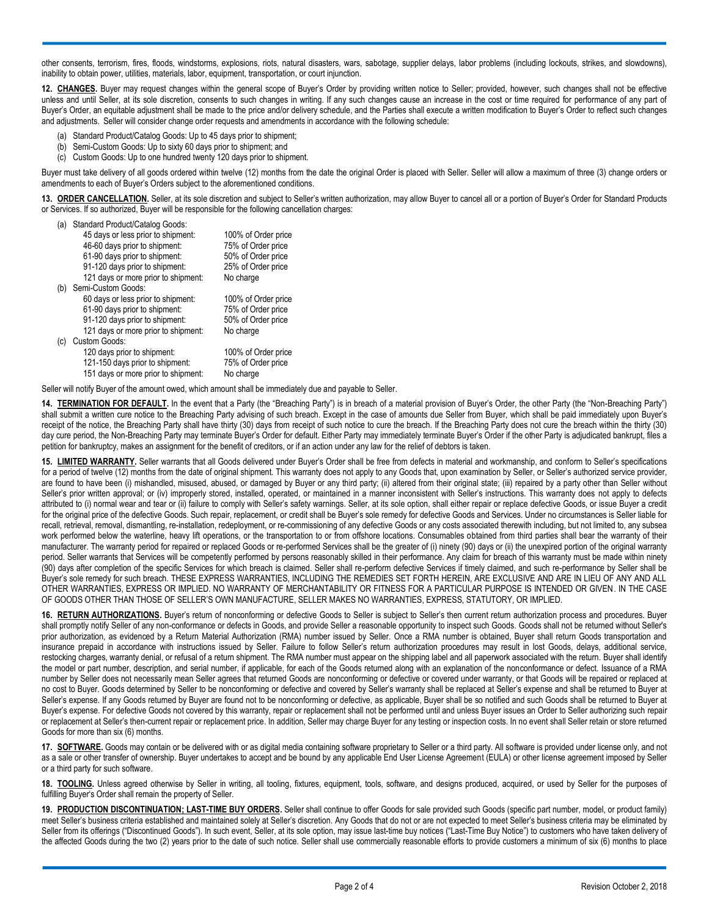other consents, terrorism, fires, floods, windstorms, explosions, riots, natural disasters, wars, sabotage, supplier delays, labor problems (including lockouts, strikes, and slowdowns), inability to obtain power, utilities, materials, labor, equipment, transportation, or court injunction.

**12. CHANGES.** Buyer may request changes within the general scope of Buyer's Order by providing written notice to Seller; provided, however, such changes shall not be effective unless and until Seller, at its sole discretion, consents to such changes in writing. If any such changes cause an increase in the cost or time required for performance of any part of Buyer's Order, an equitable adjustment shall be made to the price and/or delivery schedule, and the Parties shall execute a written modification to Buyer's Order to reflect such changes and adjustments. Seller will consider change order requests and amendments in accordance with the following schedule:

- (a) Standard Product/Catalog Goods: Up to 45 days prior to shipment;
- (b) Semi-Custom Goods: Up to sixty 60 days prior to shipment; and
- (c) Custom Goods: Up to one hundred twenty 120 days prior to shipment.

Buyer must take delivery of all goods ordered within twelve (12) months from the date the original Order is placed with Seller. Seller will allow a maximum of three (3) change orders or amendments to each of Buyer's Orders subject to the aforementioned conditions.

**13. ORDER CANCELLATION.** Seller, at its sole discretion and subject to Seller's written authorization, may allow Buyer to cancel all or a portion of Buyer's Order for Standard Products or Services. If so authorized, Buyer will be responsible for the following cancellation charges:

|  | (a) Standard Product/Catalog Goods: |  |
|--|-------------------------------------|--|
|  |                                     |  |

|                                     | 100% of Order price                                                                                                                                                       |
|-------------------------------------|---------------------------------------------------------------------------------------------------------------------------------------------------------------------------|
|                                     | 75% of Order price                                                                                                                                                        |
|                                     | 50% of Order price                                                                                                                                                        |
|                                     | 25% of Order price                                                                                                                                                        |
| 121 days or more prior to shipment: | No charge                                                                                                                                                                 |
| Semi-Custom Goods:                  |                                                                                                                                                                           |
| 60 days or less prior to shipment:  | 100% of Order price                                                                                                                                                       |
| 61-90 days prior to shipment:       | 75% of Order price                                                                                                                                                        |
| 91-120 days prior to shipment:      | 50% of Order price                                                                                                                                                        |
| 121 days or more prior to shipment: | No charge                                                                                                                                                                 |
| Custom Goods:                       |                                                                                                                                                                           |
| 120 days prior to shipment:         | 100% of Order price                                                                                                                                                       |
|                                     | 75% of Order price                                                                                                                                                        |
| 151 days or more prior to shipment: | No charge                                                                                                                                                                 |
|                                     | 45 days or less prior to shipment:<br>46-60 days prior to shipment:<br>61-90 days prior to shipment:<br>91-120 days prior to shipment:<br>121-150 days prior to shipment: |

Seller will notify Buyer of the amount owed, which amount shall be immediately due and payable to Seller.

**14. TERMINATION FOR DEFAULT.** In the event that a Party (the "Breaching Party") is in breach of a material provision of Buyer's Order, the other Party (the "Non-Breaching Party") shall submit a written cure notice to the Breaching Party advising of such breach. Except in the case of amounts due Seller from Buyer, which shall be paid immediately upon Buyer's receipt of the notice, the Breaching Party shall have thirty (30) days from receipt of such notice to cure the breach. If the Breaching Party does not cure the breach within the thirty (30) day cure period, the Non-Breaching Party may terminate Buyer's Order for default. Either Party may immediately terminate Buyer's Order if the other Party is adjudicated bankrupt, files a petition for bankruptcy, makes an assignment for the benefit of creditors, or if an action under any law for the relief of debtors is taken.

**15. LIMITED WARRANTY.** Seller warrants that all Goods delivered under Buyer's Order shall be free from defects in material and workmanship, and conform to Seller's specifications for a period of twelve (12) months from the date of original shipment. This warranty does not apply to any Goods that, upon examination by Seller, or Seller's authorized service provider, are found to have been (i) mishandled, misused, abused, or damaged by Buyer or any third party; (ii) altered from their original state; (iii) repaired by a party other than Seller without Seller's prior written approval; or (iv) improperly stored, installed, operated, or maintained in a manner inconsistent with Seller's instructions. This warranty does not apply to defects attributed to (i) normal wear and tear or (ii) failure to comply with Seller's safety warnings. Seller, at its sole option, shall either repair or replace defective Goods, or issue Buyer a credit for the original price of the defective Goods. Such repair, replacement, or credit shall be Buyer's sole remedy for defective Goods and Services. Under no circumstances is Seller liable for recall, retrieval, removal, dismantling, re-installation, redeployment, or re-commissioning of any defective Goods or any costs associated therewith including, but not limited to, any subsea work performed below the waterline, heavy lift operations, or the transportation to or from offshore locations. Consumables obtained from third parties shall bear the warranty of their manufacturer. The warranty period for repaired or replaced Goods or re-performed Services shall be the greater of (i) ninety (90) days or (ii) the unexpired portion of the original warranty period. Seller warrants that Services will be competently performed by persons reasonably skilled in their performance. Any claim for breach of this warranty must be made within ninety (90) days after completion of the specific Services for which breach is claimed. Seller shall re-perform defective Services if timely claimed, and such re-performance by Seller shall be Buyer's sole remedy for such breach. THESE EXPRESS WARRANTIES, INCLUDING THE REMEDIES SET FORTH HEREIN, ARE EXCLUSIVE AND ARE IN LIEU OF ANY AND ALL OTHER WARRANTIES, EXPRESS OR IMPLIED. NO WARRANTY OF MERCHANTABILITY OR FITNESS FOR A PARTICULAR PURPOSE IS INTENDED OR GIVEN. IN THE CASE OF GOODS OTHER THAN THOSE OF SELLER'S OWN MANUFACTURE, SELLER MAKES NO WARRANTIES, EXPRESS, STATUTORY, OR IMPLIED.

**16. RETURN AUTHORIZATIONS.** Buyer's return of nonconforming or defective Goods to Seller is subject to Seller's then current return authorization process and procedures. Buyer shall promptly notify Seller of any non-conformance or defects in Goods, and provide Seller a reasonable opportunity to inspect such Goods. Goods shall not be returned without Seller's prior authorization, as evidenced by a Return Material Authorization (RMA) number issued by Seller. Once a RMA number is obtained, Buyer shall return Goods transportation and insurance prepaid in accordance with instructions issued by Seller. Failure to follow Seller's return authorization procedures may result in lost Goods, delays, additional service, restocking charges, warranty denial, or refusal of a return shipment. The RMA number must appear on the shipping label and all paperwork associated with the return. Buyer shall identify the model or part number, description, and serial number, if applicable, for each of the Goods returned along with an explanation of the nonconformance or defect. Issuance of a RMA number by Seller does not necessarily mean Seller agrees that returned Goods are nonconforming or defective or covered under warranty, or that Goods will be repaired or replaced at no cost to Buyer. Goods determined by Seller to be nonconforming or defective and covered by Seller's warranty shall be replaced at Seller's expense and shall be returned to Buyer at Seller's expense. If any Goods returned by Buyer are found not to be nonconforming or defective, as applicable, Buyer shall be so notified and such Goods shall be returned to Buyer at Buyer's expense. For defective Goods not covered by this warranty, repair or replacement shall not be performed until and unless Buyer issues an Order to Seller authorizing such repair or replacement at Seller's then-current repair or replacement price. In addition, Seller may charge Buyer for any testing or inspection costs. In no event shall Seller retain or store returned Goods for more than six (6) months.

17. SOFTWARE. Goods may contain or be delivered with or as digital media containing software proprietary to Seller or a third party. All software is provided under license only, and not as a sale or other transfer of ownership. Buyer undertakes to accept and be bound by any applicable End User License Agreement (EULA) or other license agreement imposed by Seller or a third party for such software.

**18. TOOLING.** Unless agreed otherwise by Seller in writing, all tooling, fixtures, equipment, tools, software, and designs produced, acquired, or used by Seller for the purposes of fulfilling Buyer's Order shall remain the property of Seller.

**19. PRODUCTION DISCONTINUATION; LAST-TIME BUY ORDERS.** Seller shall continue to offer Goods for sale provided such Goods (specific part number, model, or product family) meet Seller's business criteria established and maintained solely at Seller's discretion. Any Goods that do not or are not expected to meet Seller's business criteria may be eliminated by Seller from its offerings ("Discontinued Goods"). In such event, Seller, at its sole option, may issue last-time buy notices ("Last-Time Buy Notice") to customers who have taken delivery of the affected Goods during the two (2) years prior to the date of such notice. Seller shall use commercially reasonable efforts to provide customers a minimum of six (6) months to place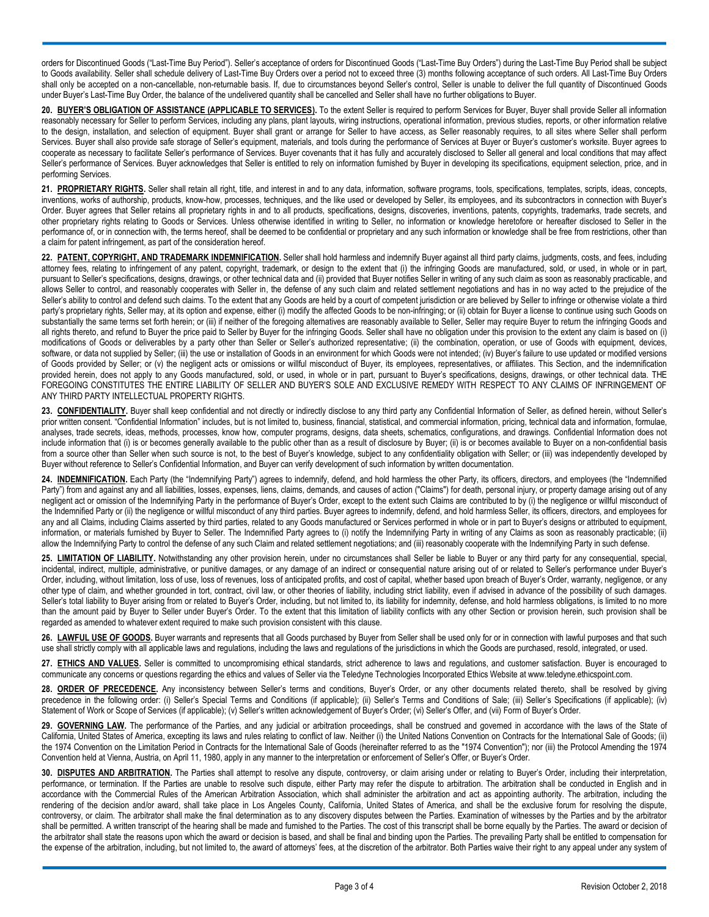orders for Discontinued Goods ("Last-Time Buy Period"). Seller's acceptance of orders for Discontinued Goods ("Last-Time Buy Orders") during the Last-Time Buy Period shall be subject to Goods availability. Seller shall schedule delivery of Last-Time Buy Orders over a period not to exceed three (3) months following acceptance of such orders. All Last-Time Buy Orders shall only be accepted on a non-cancellable, non-returnable basis. If, due to circumstances beyond Seller's control, Seller is unable to deliver the full quantity of Discontinued Goods under Buyer's Last-Time Buy Order, the balance of the undelivered quantity shall be cancelled and Seller shall have no further obligations to Buyer.

**20. BUYER'S OBLIGATION OF ASSISTANCE (APPLICABLE TO SERVICES).** To the extent Seller is required to perform Services for Buyer, Buyer shall provide Seller all information reasonably necessary for Seller to perform Services, including any plans, plant layouts, wiring instructions, operational information, previous studies, reports, or other information relative to the design, installation, and selection of equipment. Buyer shall grant or arrange for Seller to have access, as Seller reasonably requires, to all sites where Seller shall perform Services. Buyer shall also provide safe storage of Seller's equipment, materials, and tools during the performance of Services at Buyer' or Buyer's customer's worksite. Buyer agrees to cooperate as necessary to facilitate Seller's performance of Services. Buyer covenants that it has fully and accurately disclosed to Seller all general and local conditions that may affect Seller's performance of Services. Buyer acknowledges that Seller is entitled to rely on information furnished by Buyer in developing its specifications, equipment selection, price, and in performing Services.

**21. PROPRIETARY RIGHTS.** Seller shall retain all right, title, and interest in and to any data, information, software programs, tools, specifications, templates, scripts, ideas, concepts, inventions, works of authorship, products, know-how, processes, techniques, and the like used or developed by Seller, its employees, and its subcontractors in connection with Buyer's Order. Buyer agrees that Seller retains all proprietary rights in and to all products, specifications, designs, discoveries, inventions, patents, copyrights, trademarks, trade secrets, and other proprietary rights relating to Goods or Services. Unless otherwise identified in writing to Seller, no information or knowledge heretofore or hereafter disclosed to Seller in the performance of, or in connection with, the terms hereof, shall be deemed to be confidential or proprietary and any such information or knowledge shall be free from restrictions, other than a claim for patent infringement, as part of the consideration hereof.

**22. PATENT, COPYRIGHT, AND TRADEMARK INDEMNIFICATION.** Seller shall hold harmless and indemnify Buyer against all third party claims, judgments, costs, and fees, including attorney fees, relating to infringement of any patent, copyright, trademark, or design to the extent that (i) the infringing Goods are manufactured, sold, or used, in whole or in part, pursuant to Seller's specifications, designs, drawings, or other technical data and (ii) provided that Buyer notifies Seller in writing of any such claim as soon as reasonably practicable, and allows Seller to control, and reasonably cooperates with Seller in, the defense of any such claim and related settlement negotiations and has in no way acted to the prejudice of the Seller's ability to control and defend such claims. To the extent that any Goods are held by a court of competent jurisdiction or are believed by Seller to infringe or otherwise violate a third party's proprietary rights, Seller may, at its option and expense, either (i) modify the affected Goods to be non-infringing; or (ii) obtain for Buyer a license to continue using such Goods on substantially the same terms set forth herein; or (iii) if neither of the foregoing alternatives are reasonably available to Seller, Seller may require Buyer to return the infringing Goods and all rights thereto, and refund to Buyer the price paid to Seller by Buyer for the infringing Goods. Seller shall have no obligation under this provision to the extent any claim is based on (i) modifications of Goods or deliverables by a party other than Seller or Seller's authorized representative; (ii) the combination, operation, or use of Goods with equipment, devices, software, or data not supplied by Seller; (iii) the use or installation of Goods in an environment for which Goods were not intended; (iv) Buyer's failure to use updated or modified versions of Goods provided by Seller; or (v) the negligent acts or omissions or willful misconduct of Buyer, its employees, representatives, or affiliates. This Section, and the indemnification provided herein, does not apply to any Goods manufactured, sold, or used, in whole or in part, pursuant to Buyer's specifications, designs, drawings, or other technical data. THE FOREGOING CONSTITUTES THE ENTIRE LIABILITY OF SELLER AND BUYER'S SOLE AND EXCLUSIVE REMEDY WITH RESPECT TO ANY CLAIMS OF INFRINGEMENT OF ANY THIRD PARTY INTELLECTUAL PROPERTY RIGHTS.

23. **CONFIDENTIALITY**. Buyer shall keep confidential and not directly or indirectly disclose to any third party any Confidential Information of Seller, as defined herein, without Seller's prior written consent. "Confidential Information" includes, but is not limited to, business, financial, statistical, and commercial information, pricing, technical data and information, formulae, analyses, trade secrets, ideas, methods, processes, know how, computer programs, designs, data sheets, schematics, configurations, and drawings. Confidential Information does not include information that (i) is or becomes generally available to the public other than as a result of disclosure by Buyer; (ii) is or becomes available to Buyer on a non-confidential basis from a source other than Seller when such source is not, to the best of Buyer's knowledge, subject to any confidentiality obligation with Seller; or (iii) was independently developed by Buyer without reference to Seller's Confidential Information, and Buyer can verify development of such information by written documentation.

**24. INDEMNIFICATION.** Each Party (the "Indemnifying Party") agrees to indemnify, defend, and hold harmless the other Party, its officers, directors, and employees (the "Indemnified Party") from and against any and all liabilities, losses, expenses, liens, claims, demands, and causes of action ("Claims") for death, personal injury, or property damage arising out of any negligent act or omission of the Indemnifying Party in the performance of Buyer's Order, except to the extent such Claims are contributed to by (i) the negligence or willful misconduct of the Indemnified Party or (ii) the negligence or willful misconduct of any third parties. Buyer agrees to indemnify, defend, and hold harmless Seller, its officers, directors, and employees for any and all Claims, including Claims asserted by third parties, related to any Goods manufactured or Services performed in whole or in part to Buyer's designs or attributed to equipment, information, or materials furnished by Buyer to Seller. The Indemnified Party agrees to (i) notify the Indemnifying Party in writing of any Claims as soon as reasonably practicable; (ii) allow the Indemnifying Party to control the defense of any such Claim and related settlement negotiations; and (iii) reasonably cooperate with the Indemnifying Party in such defense.

25. LIMITATION OF LIABILITY. Notwithstanding any other provision herein, under no circumstances shall Seller be liable to Buyer or any third party for any consequential, special, incidental, indirect, multiple, administrative, or punitive damages, or any damage of an indirect or consequential nature arising out of or related to Seller's performance under Buyer's Order, including, without limitation, loss of use, loss of revenues, loss of anticipated profits, and cost of capital, whether based upon breach of Buyer's Order, warranty, negligence, or any other type of claim, and whether grounded in tort, contract, civil law, or other theories of liability, including strict liability, even if advised in advance of the possibility of such damages. Seller's total liability to Buyer arising from or related to Buyer's Order, including, but not limited to, its liability for indemnity, defense, and hold harmless obligations, is limited to no more than the amount paid by Buyer to Seller under Buyer's Order. To the extent that this limitation of liability conflicts with any other Section or provision herein, such provision shall be regarded as amended to whatever extent required to make such provision consistent with this clause.

26. LAWFUL USE OF GOODS. Buyer warrants and represents that all Goods purchased by Buyer from Seller shall be used only for or in connection with lawful purposes and that such use shall strictly comply with all applicable laws and regulations, including the laws and regulations of the jurisdictions in which the Goods are purchased, resold, integrated, or used.

**27. ETHICS AND VALUES.** Seller is committed to uncompromising ethical standards, strict adherence to laws and regulations, and customer satisfaction. Buyer is encouraged to communicate any concerns or questions regarding the ethics and values of Seller via the Teledyne Technologies Incorporated Ethics Website at www.teledyne.ethicspoint.com.

28. ORDER OF PRECEDENCE. Any inconsistency between Seller's terms and conditions, Buyer's Order, or any other documents related thereto, shall be resolved by giving precedence in the following order: (i) Seller's Special Terms and Conditions (if applicable); (ii) Seller's Terms and Conditions of Sale; (iii) Seller's Specifications (if applicable); (iv) Statement of Work or Scope of Services (if applicable); (v) Seller's written acknowledgement of Buyer's Order; (vi) Seller's Offer, and (vii) Form of Buyer's Order.

29. **GOVERNING LAW**. The performance of the Parties, and any judicial or arbitration proceedings, shall be construed and governed in accordance with the laws of the State of California, United States of America, excepting its laws and rules relating to conflict of law. Neither (i) the United Nations Convention on Contracts for the International Sale of Goods; (ii) the 1974 Convention on the Limitation Period in Contracts for the International Sale of Goods (hereinafter referred to as the "1974 Convention"); nor (iii) the Protocol Amending the 1974 Convention held at Vienna, Austria, on April 11, 1980, apply in any manner to the interpretation or enforcement of Seller's Offer, or Buyer's Order.

**30. DISPUTES AND ARBITRATION.** The Parties shall attempt to resolve any dispute, controversy, or claim arising under or relating to Buyer's Order, including their interpretation, performance, or termination. If the Parties are unable to resolve such dispute, either Party may refer the dispute to arbitration. The arbitration shall be conducted in English and in accordance with the Commercial Rules of the American Arbitration Association, which shall administer the arbitration and act as appointing authority. The arbitration, including the rendering of the decision and/or award, shall take place in Los Angeles County, California, United States of America, and shall be the exclusive forum for resolving the dispute, controversy, or claim. The arbitrator shall make the final determination as to any discovery disputes between the Parties. Examination of witnesses by the Parties and by the arbitrator shall be permitted. A written transcript of the hearing shall be made and furnished to the Parties. The cost of this transcript shall be borne equally by the Parties. The award or decision of the arbitrator shall state the reasons upon which the award or decision is based, and shall be final and binding upon the Parties. The prevailing Party shall be entitled to compensation for the expense of the arbitration, including, but not limited to, the award of attorneys' fees, at the discretion of the arbitrator. Both Parties waive their right to any appeal under any system of